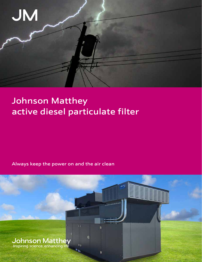

ū

# Johnson Matthey active diesel particulate filter

Always keep the power on and the air clean

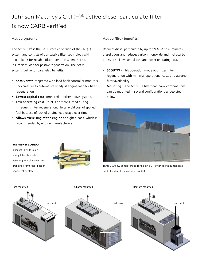# Johnson Matthey's CRT(+)® active diesel particulate filter is now CARB verified

# **Active systems**

The ActivCRT<sup>®</sup> is the CARB verified version of the CRT $(+)$ system and consists of our passive filter technology with a load bank for reliable filter operation when there is insufficient load for passive regeneration. The ActivCRT systems deliver unparalleled benefits:

- **SootAlert™** integrated with load bank controller monitors backpressure to automatically adjust engine load for filter regeneration
- **Lowest capital cost** compared to other active systems
- **Low operating cost** fuel is only consumed during infrequent filter regeneration. Helps avoid cost of spolied fuel because of lack of engine load usage over time
- **Allows exercising of the engine** at higher loads, which is recommended by engine manufacturers

# **Active filter benefits**

Reduces diesel particulate by up to 99%. Also eliminates diesel odors and reduces carbon monoxide and hydrocarbon emissions. Low capital cost and lower operating cost.

- **SCOUT™** This operation mode optimizes filter regeneration with minimal operational costs and assured filter availability
- **Mounting** The ActivCRT filter/load bank combinations can be mounted in several configurations as depicted below



Three 2500 kW generators utilizing active CRTs with roof mounted load banks for standby power at a hospital.

**Wall-flow in a ActivCRT** Exhaust flows through many filter channels resulting in highly effective trapping of PM regardless of regeneration state.



Roof mounted **Radiator mounted** Remote mounted Remote mounted Remote mounted





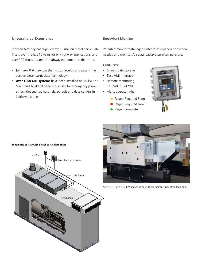### **Unparalleled Experience**

Johnson Matthey has supplied over 3 million diesel particulate filters over the last 10 years for on-highway applications, and over 200 thousand on off-highway equipment in that time.

- **Johnson Matthey** was the first to develop and patent the passive diesel particulate technology
- **Over 1000 CRT systems** have been installed on 40 kW to 4 MW stand-by diesel generators used for emergency power at facilities such as hospitals, schools and data centers in California alone

# **SootAlert Monitor**

Patented monitor/data logger integrates regeneration when needed and monitors/displays backpressure/temperature.

#### **Features:**

- 5 years data storage
- Easy HMI interface
- Remote monitoring
- 110 VAC or 24 VDC
- Alerts operator when
	- **Regen Required Soon**
	- Regen Required Now
	- **Regen Complete**





Active CRT on a 400 kW genset using 200 kW radiator-mountred load bank.

#### **Schematic of ActivCRT diesel particulate filter**

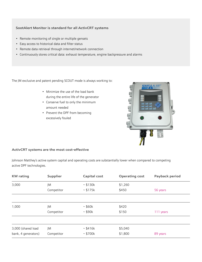# **SootAlert Monitor is standard for all ActivCRT systems**

- Remote monitoring of single or multiple gensets
- Easy access to historical data and filter status
- Remote data retrieval through internet/network connection
- Continuously stores critical data: exhaust temperature, engine backpressure and alarms

The JM exclusive and patent pending SCOUT mode is always working to:

- Minimize the use of the load bank during the entire life of the generator
- Conserve fuel to only the minimum amount needed
- Prevent the DPF from becoming excessively fouled



# **ActivCRT systems are the most cost-effective**

Johnson Matthey's active system capital and operating costs are substantially lower when compared to competing active DPF technologies.

| <b>KW</b> rating    | <b>Supplier</b> | <b>Capital cost</b> | <b>Operating cost</b> | Payback period |
|---------------------|-----------------|---------------------|-----------------------|----------------|
| 3,000               | JM              | ~5130k              | \$1,260               |                |
|                     | Competitor      | ~5175k              | \$450                 | 56 years       |
|                     |                 |                     |                       |                |
| 1,000               | JM              | ~560k               | \$420                 |                |
|                     | Competitor      | ~590k               | \$150                 | 111 years      |
|                     |                 |                     |                       |                |
| 3,000 (shared load  | JM              | ~5416k              | \$5,040               |                |
| bank, 4 generators) | Competitor      | ~5700k              | \$1,800               | 89 years       |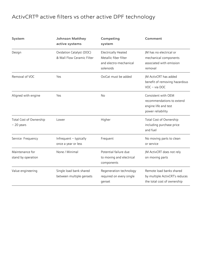# ActivCRT® active filters vs other active DPF technology

| <b>System</b>                          | <b>Johnson Matthey</b><br>active systems               | Competing<br>system                                                                        | Comment                                                                                       |
|----------------------------------------|--------------------------------------------------------|--------------------------------------------------------------------------------------------|-----------------------------------------------------------------------------------------------|
| Design                                 | Oxidation Catalyst (DOC)<br>& Wall Flow Ceramic Filter | <b>Electrically Heated</b><br>Metallic fiber filter<br>and electro-mechanical<br>solenoids | JM has no electrical or<br>mechanical components<br>associated with emission<br>removal       |
| Removal of VOC                         | Yes                                                    | OxiCat must be added                                                                       | JM ActivCRT has added<br>benefit of removing hazardous<br>VOC - via DOC                       |
| Aligned with engine                    | Yes                                                    | <b>No</b>                                                                                  | Consistent with OEM<br>recommendations to extend<br>engine life and test<br>power reliability |
| Total Cost of Ownership<br>$-20$ years | Lower                                                  | Higher                                                                                     | Total Cost of Ownership<br>including purchase price<br>and fuel                               |
| Service Frequency                      | Infrequent - typically<br>once a year or less          | Frequent                                                                                   | No moving parts to clean<br>or service                                                        |
| Maintenance for<br>stand by operation  | None / Minimal                                         | Potential failure due<br>to moving and electrical<br>components                            | JM ActivCRT does not rely<br>on moving parts                                                  |
| Value engineering                      | Single load bank shared<br>between multiple gensets    | Regeneration technology<br>required on every single<br>genset                              | Remote load banks shared<br>by multiple ActivCRT's reduces<br>the total cost of ownership     |